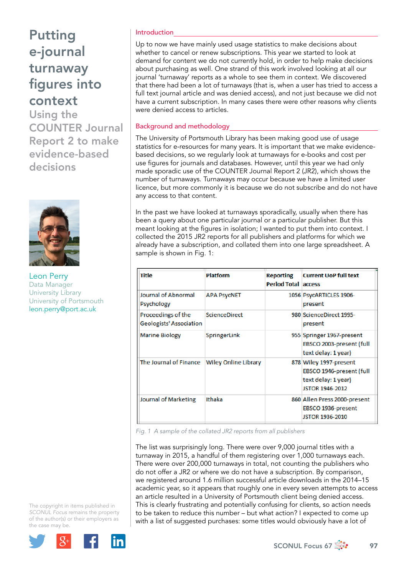Using the COUNTER Journal Report 2 to make evidence-based decisions



Leon Perry Data Manager University Library University of Portsmouth [leon.perry@port.ac.uk](file:///Users/stevegardner/Desktop/Focus%2067/leon.perry@port.ac.uk)

The copyright in items published in *SCONUL Focus* remains the property of the author(s) or their employers as the case may be.



### Introduction

Up to now we have mainly used usage statistics to make decisions about whether to cancel or renew subscriptions. This year we started to look at demand for content we do not currently hold, in order to help make decisions about purchasing as well. One strand of this work involved looking at all our journal 'turnaway' reports as a whole to see them in context. We discovered that there had been a lot of turnaways (that is, when a user has tried to access a full text journal article and was denied access), and not just because we did not have a current subscription. In many cases there were other reasons why clients were denied access to articles.

### Background and methodology

The University of Portsmouth Library has been making good use of usage statistics for e-resources for many years. It is important that we make evidencebased decisions, so we regularly look at turnaways for e-books and cost per use figures for journals and databases. However, until this year we had only made sporadic use of the COUNTER Journal Report 2 (JR2), which shows the number of turnaways. Turnaways may occur because we have a limited user licence, but more commonly it is because we do not subscribe and do not have any access to that content.

In the past we have looked at turnaways sporadically, usually when there has been a query about one particular journal or a particular publisher. But this meant looking at the figures in isolation; I wanted to put them into context. I collected the 2015 JR2 reports for all publishers and platforms for which we already have a subscription, and collated them into one large spreadsheet. A sample is shown in Fig. 1:

| Title                                                | <b>Platform</b>             | <b>Reporting</b><br><b>Period Total access</b> | <b>Current UoP full text</b>                                                                        |
|------------------------------------------------------|-----------------------------|------------------------------------------------|-----------------------------------------------------------------------------------------------------|
| Journal of Abnormal<br><b>Psychology</b>             | <b>APA PsycNET</b>          |                                                | 1056 PsycARTICLES 1906-<br>present                                                                  |
| Proceedings of the<br><b>Geologists' Association</b> | <b>ScienceDirect</b>        |                                                | 980 ScienceDirect 1995-<br>present                                                                  |
| <b>Marine Biology</b>                                | SpringerLink                |                                                | 955 Springer 1967-present<br>EBSCO 2003-present (full<br>text delay: 1 year)                        |
| The Journal of Finance                               | <b>Wiley Online Library</b> |                                                | 878 Wiley 1997-present<br>EBSCO 1946-present (full<br>text delay: 1 year)<br><b>JSTOR 1946-2012</b> |
| Journal of Marketing                                 | Ithaka                      |                                                | 860 Allen Press 2000-present<br>EBSCO 1936-present<br><b>JSTOR 1936-2010</b>                        |

*Fig. 1 A sample of the collated JR2 reports from all publishers* 

The list was surprisingly long. There were over 9,000 journal titles with a turnaway in 2015, a handful of them registering over 1,000 turnaways each. There were over 200,000 turnaways in total, not counting the publishers who do not offer a JR2 or where we do not have a subscription. By comparison, we registered around 1.6 million successful article downloads in the 2014–15 academic year, so it appears that roughly one in every seven attempts to access an article resulted in a University of Portsmouth client being denied access. This is clearly frustrating and potentially confusing for clients, so action needs to be taken to reduce this number – but what action? I expected to come up with a list of suggested purchases: some titles would obviously have a lot of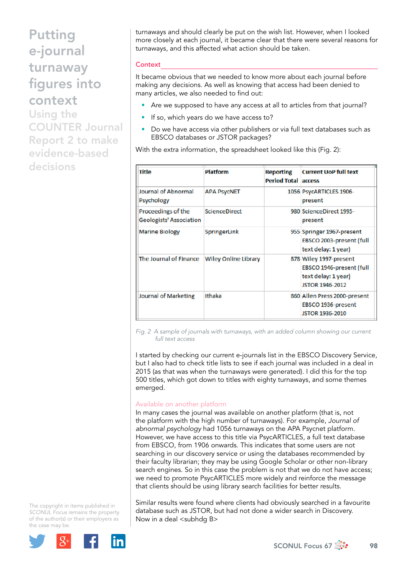Using the COUNTER Journal Report 2 to make evidence-based decisions

turnaways and should clearly be put on the wish list. However, when I looked more closely at each journal, it became clear that there were several reasons for turnaways, and this affected what action should be taken.

### **Context**

It became obvious that we needed to know more about each journal before making any decisions. As well as knowing that access had been denied to many articles, we also needed to find out:

- Are we supposed to have any access at all to articles from that journal?
- If so, which years do we have access to?
- Do we have access via other publishers or via full text databases such as EBSCO databases or JSTOR packages?

With the extra information, the spreadsheet looked like this (Fig. 2):

| <b>Title</b>                                         | <b>Platform</b>             | <b>Reporting</b><br><b>Period Total access</b> | <b>Current UoP full text</b>                                                                        |  |
|------------------------------------------------------|-----------------------------|------------------------------------------------|-----------------------------------------------------------------------------------------------------|--|
| <b>Journal of Abnormal</b><br>Psychology             | <b>APA PsycNET</b>          |                                                | 1056 PsycARTICLES 1906-<br>present                                                                  |  |
| Proceedings of the<br><b>Geologists' Association</b> | <b>ScienceDirect</b>        |                                                | 980 ScienceDirect 1995-<br>present                                                                  |  |
| <b>Marine Biology</b>                                | SpringerLink                |                                                | 955 Springer 1967-present<br>EBSCO 2003-present (full<br>text delay: 1 year)                        |  |
| The Journal of Finance                               | <b>Wiley Online Library</b> |                                                | 878 Wiley 1997-present<br>EBSCO 1946-present (full<br>text delay: 1 year)<br><b>ISTOR 1946-2012</b> |  |
| <b>Journal of Marketing</b>                          | Ithaka                      |                                                | 860 Allen Press 2000-present<br>EBSCO 1936-present<br><b>JSTOR 1936-2010</b>                        |  |

*Fig. 2 A sample of journals with turnaways, with an added column showing our current full text access* 

I started by checking our current e-journals list in the EBSCO Discovery Service, but I also had to check title lists to see if each journal was included in a deal in 2015 (as that was when the turnaways were generated). I did this for the top 500 titles, which got down to titles with eighty turnaways, and some themes emerged.

#### Available on another platform

In many cases the journal was available on another platform (that is, not the platform with the high number of turnaways). For example, *Journal of abnormal psychology* had 1056 turnaways on the APA Psycnet platform. However, we have access to this title via PsycARTICLES, a full text database from EBSCO, from 1906 onwards. This indicates that some users are not searching in our discovery service or using the databases recommended by their faculty librarian; they may be using Google Scholar or other non-library search engines. So in this case the problem is not that we do not have access; we need to promote PsycARTICLES more widely and reinforce the message that clients should be using library search facilities for better results.

Similar results were found where clients had obviously searched in a favourite database such as JSTOR, but had not done a wider search in Discovery. Now in a deal <subhdg B>

The copyright in items published in *SCONUL Focus* remains the property of the author(s) or their employers as the case may be.



SCONUL Focus 67 $\frac{4}{200}$  98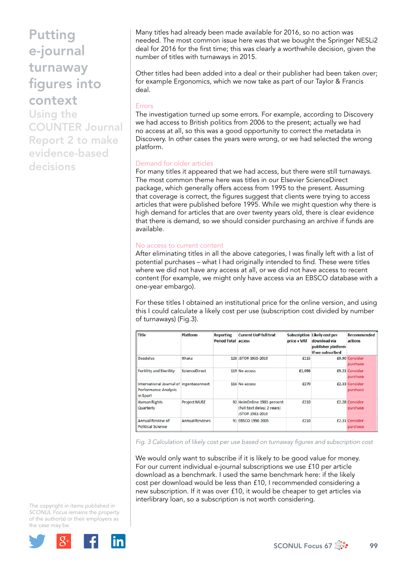Using the COUNTER Journal Report 2 to make evidence-based decisions

Many titles had already been made available for 2016, so no action was needed. The most common issue here was that we bought the Springer NESLi2 deal for 2016 for the first time; this was clearly a worthwhile decision, given the number of titles with turnaways in 2015.

Other titles had been added into a deal or their publisher had been taken over; for example Ergonomics, which we now take as part of our Taylor & Francis deal.

#### Errors

The investigation turned up some errors. For example, according to Discovery we had access to British politics from 2006 to the present; actually we had no access at all, so this was a good opportunity to correct the metadata in Discovery. In other cases the years were wrong, or we had selected the wrong platform.

#### Demand for older articles

For many titles it appeared that we had access, but there were still turnaways. The most common theme here was titles in our Elsevier ScienceDirect package, which generally offers access from 1995 to the present. Assuming that coverage is correct, the figures suggest that clients were trying to access articles that were published before 1995. While we might question why there is high demand for articles that are over twenty years old, there is clear evidence that there is demand, so we should consider purchasing an archive if funds are available.

#### No access to current content

After eliminating titles in all the above categories, I was finally left with a list of potential purchases – what I had originally intended to find. These were titles where we did not have any access at all, or we did not have access to recent content (for example, we might only have access via an EBSCO database with a one-year embargo).

For these titles I obtained an institutional price for the online version, and using this I could calculate a likely cost per use (subscription cost divided by number of turnaways) (Fig.3).

| <b>Title</b>                                                                       | <b>Platform</b>       | <b>Reporting</b><br><b>Period Total access</b> | <b>Current UoP full text</b>                                                | price + VAT | <b>Subscription Likely cost per</b><br>download via<br>publisher platform<br>if we subscribed | <b>Recommended</b><br>actions |
|------------------------------------------------------------------------------------|-----------------------|------------------------------------------------|-----------------------------------------------------------------------------|-------------|-----------------------------------------------------------------------------------------------|-------------------------------|
| <b>Daedalus</b>                                                                    | Ithaka                |                                                | 128 JSTOR 1955-2010                                                         | £115        |                                                                                               | £0.90 Consider<br>purchase    |
| <b>Fertility and Sterility</b>                                                     | <b>ScienceDirect</b>  |                                                | 119 No access                                                               | £1,096      |                                                                                               | £9.21 Consider<br>purchase    |
| International Journal of ingentaconnect<br><b>Performance Analysis</b><br>in Sport |                       |                                                | 116 No access                                                               | £270        |                                                                                               | £2.33 Consider<br>purchase    |
| <b>Human Rights</b><br>Quarterly                                                   | <b>Project MUSE</b>   |                                                | 92 HeinOnline 1981-present<br>(full text delay: 2 years)<br>JSTOR 1981-2010 | £210        |                                                                                               | £2.28 Consider<br>purchase    |
| <b>Annual Review of</b><br><b>Political Science</b>                                | <b>Annual Reviews</b> |                                                | 91 EBSCO 1998-2005                                                          | £210        |                                                                                               | £2.31 Consider<br>purchase    |

*Fig. 3 Calculation of likely cost per use based on turnaway figures and subscription cost* 

We would only want to subscribe if it is likely to be good value for money. For our current individual e-journal subscriptions we use £10 per article download as a benchmark. I used the same benchmark here: if the likely cost per download would be less than £10, I recommended considering a new subscription. If it was over £10, it would be cheaper to get articles via interlibrary loan, so a subscription is not worth considering.

The copyright in items published in *SCONUL Focus* remains the property of the author(s) or their employers as the case may be.